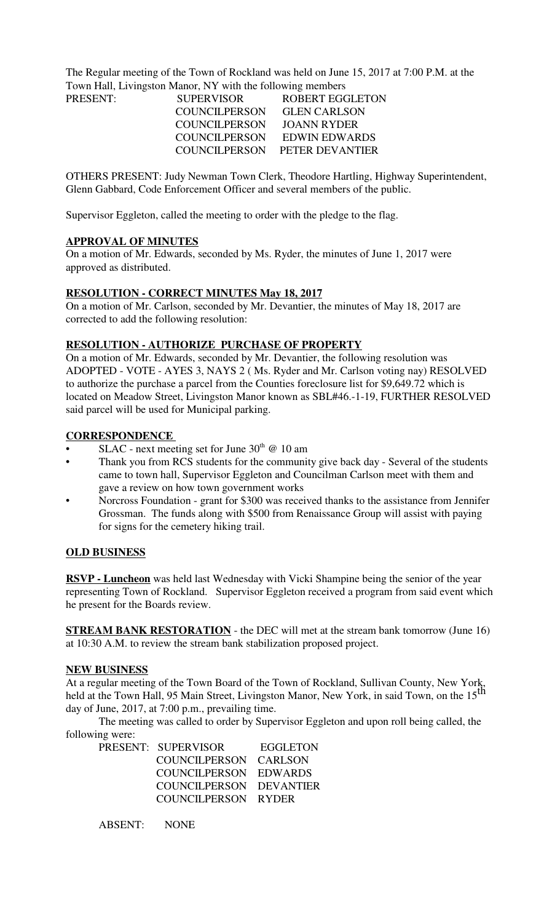The Regular meeting of the Town of Rockland was held on June 15, 2017 at 7:00 P.M. at the Town Hall, Livingston Manor, NY with the following members

| <b>PRESENT:</b> | <b>SUPERVISOR</b>    | <b>ROBERT EGGLETON</b>        |
|-----------------|----------------------|-------------------------------|
|                 | COUNCILPERSON        | <b>GLEN CARLSON</b>           |
|                 | <b>COUNCILPERSON</b> | JOANN RYDER                   |
|                 | COUNCILPERSON        | EDWIN EDWARDS                 |
|                 |                      | COUNCILPERSON PETER DEVANTIER |
|                 |                      |                               |

OTHERS PRESENT: Judy Newman Town Clerk, Theodore Hartling, Highway Superintendent, Glenn Gabbard, Code Enforcement Officer and several members of the public.

Supervisor Eggleton, called the meeting to order with the pledge to the flag.

#### **APPROVAL OF MINUTES**

On a motion of Mr. Edwards, seconded by Ms. Ryder, the minutes of June 1, 2017 were approved as distributed.

## **RESOLUTION - CORRECT MINUTES May 18, 2017**

On a motion of Mr. Carlson, seconded by Mr. Devantier, the minutes of May 18, 2017 are corrected to add the following resolution:

## **RESOLUTION - AUTHORIZE PURCHASE OF PROPERTY**

On a motion of Mr. Edwards, seconded by Mr. Devantier, the following resolution was ADOPTED - VOTE - AYES 3, NAYS 2 ( Ms. Ryder and Mr. Carlson voting nay) RESOLVED to authorize the purchase a parcel from the Counties foreclosure list for \$9,649.72 which is located on Meadow Street, Livingston Manor known as SBL#46.-1-19, FURTHER RESOLVED said parcel will be used for Municipal parking.

#### **CORRESPONDENCE**

- SLAC next meeting set for June  $30<sup>th</sup>$  @ 10 am
- Thank you from RCS students for the community give back day Several of the students came to town hall, Supervisor Eggleton and Councilman Carlson meet with them and gave a review on how town government works
- Norcross Foundation grant for \$300 was received thanks to the assistance from Jennifer Grossman. The funds along with \$500 from Renaissance Group will assist with paying for signs for the cemetery hiking trail.

### **OLD BUSINESS**

**RSVP - Luncheon** was held last Wednesday with Vicki Shampine being the senior of the year representing Town of Rockland. Supervisor Eggleton received a program from said event which he present for the Boards review.

**STREAM BANK RESTORATION** - the DEC will met at the stream bank tomorrow (June 16) at 10:30 A.M. to review the stream bank stabilization proposed project.

#### **NEW BUSINESS**

At a regular meeting of the Town Board of the Town of Rockland, Sullivan County, New York, held at the Town Hall, 95 Main Street, Livingston Manor, New York, in said Town, on the 15<sup>th</sup> day of June, 2017, at 7:00 p.m., prevailing time.

The meeting was called to order by Supervisor Eggleton and upon roll being called, the following were: PRESE

| PRESENT: SUPERVISOR     | EGGLETON |
|-------------------------|----------|
| COUNCILPERSON CARLSON   |          |
| COUNCILPERSON EDWARDS   |          |
| COUNCILPERSON DEVANTIER |          |
| COUNCILPERSON RYDER     |          |

ABSENT: NONE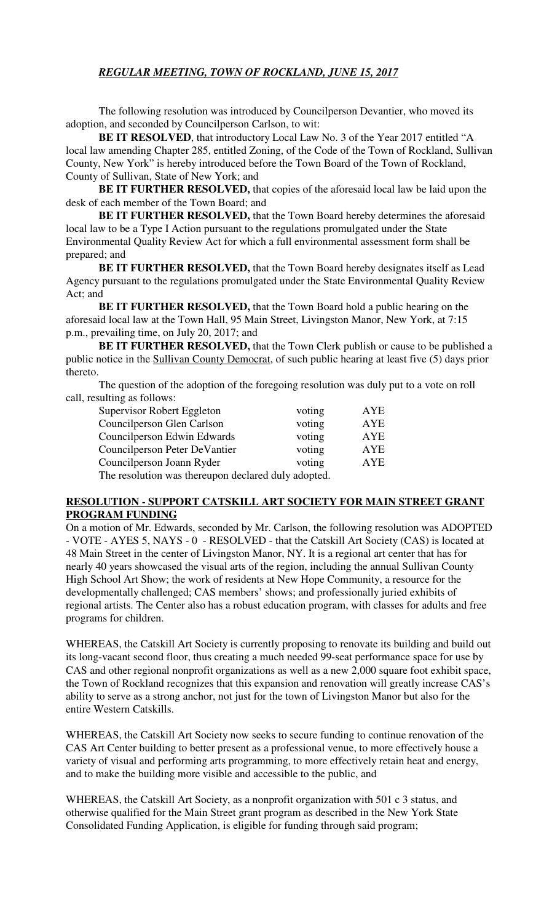The following resolution was introduced by Councilperson Devantier, who moved its adoption, and seconded by Councilperson Carlson, to wit:

**BE IT RESOLVED**, that introductory Local Law No. 3 of the Year 2017 entitled "A local law amending Chapter 285, entitled Zoning, of the Code of the Town of Rockland, Sullivan County, New York" is hereby introduced before the Town Board of the Town of Rockland, County of Sullivan, State of New York; and

**BE IT FURTHER RESOLVED,** that copies of the aforesaid local law be laid upon the desk of each member of the Town Board; and

**BE IT FURTHER RESOLVED,** that the Town Board hereby determines the aforesaid local law to be a Type I Action pursuant to the regulations promulgated under the State Environmental Quality Review Act for which a full environmental assessment form shall be prepared; and

**BE IT FURTHER RESOLVED,** that the Town Board hereby designates itself as Lead Agency pursuant to the regulations promulgated under the State Environmental Quality Review Act; and

**BE IT FURTHER RESOLVED,** that the Town Board hold a public hearing on the aforesaid local law at the Town Hall, 95 Main Street, Livingston Manor, New York, at 7:15 p.m., prevailing time, on July 20, 2017; and

**BE IT FURTHER RESOLVED,** that the Town Clerk publish or cause to be published a public notice in the Sullivan County Democrat, of such public hearing at least five (5) days prior thereto.

The question of the adoption of the foregoing resolution was duly put to a vote on roll call, resulting as follows:

| Supervisor Robert Eggleton                          | voting | ${\rm AYE}$ |  |  |
|-----------------------------------------------------|--------|-------------|--|--|
| Councilperson Glen Carlson                          | voting | ${\rm AYE}$ |  |  |
| Councilperson Edwin Edwards                         | voting | ${\rm AYE}$ |  |  |
| Councilperson Peter DeVantier                       | voting | AYE         |  |  |
| Councilperson Joann Ryder                           | voting | AYE         |  |  |
| The resolution was thereupon declared duly adopted. |        |             |  |  |

## **RESOLUTION - SUPPORT CATSKILL ART SOCIETY FOR MAIN STREET GRANT PROGRAM FUNDING**

On a motion of Mr. Edwards, seconded by Mr. Carlson, the following resolution was ADOPTED - VOTE - AYES 5, NAYS - 0 - RESOLVED - that the Catskill Art Society (CAS) is located at 48 Main Street in the center of Livingston Manor, NY. It is a regional art center that has for nearly 40 years showcased the visual arts of the region, including the annual Sullivan County High School Art Show; the work of residents at New Hope Community, a resource for the developmentally challenged; CAS members' shows; and professionally juried exhibits of regional artists. The Center also has a robust education program, with classes for adults and free programs for children.

WHEREAS, the Catskill Art Society is currently proposing to renovate its building and build out its long-vacant second floor, thus creating a much needed 99-seat performance space for use by CAS and other regional nonprofit organizations as well as a new 2,000 square foot exhibit space, the Town of Rockland recognizes that this expansion and renovation will greatly increase CAS's ability to serve as a strong anchor, not just for the town of Livingston Manor but also for the entire Western Catskills.

WHEREAS, the Catskill Art Society now seeks to secure funding to continue renovation of the CAS Art Center building to better present as a professional venue, to more effectively house a variety of visual and performing arts programming, to more effectively retain heat and energy, and to make the building more visible and accessible to the public, and

WHEREAS, the Catskill Art Society, as a nonprofit organization with 501 c 3 status, and otherwise qualified for the Main Street grant program as described in the New York State Consolidated Funding Application, is eligible for funding through said program;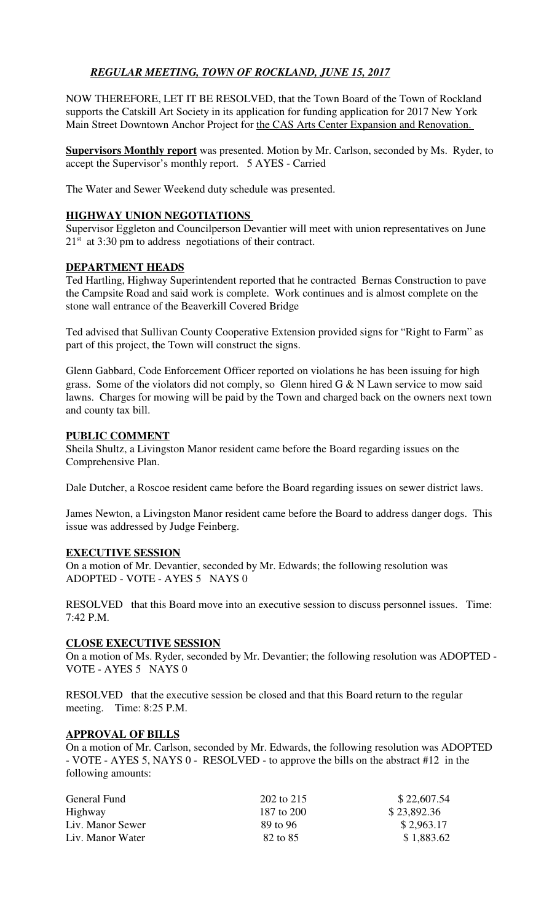# *REGULAR MEETING, TOWN OF ROCKLAND, JUNE 15, 2017*

NOW THEREFORE, LET IT BE RESOLVED, that the Town Board of the Town of Rockland supports the Catskill Art Society in its application for funding application for 2017 New York Main Street Downtown Anchor Project for the CAS Arts Center Expansion and Renovation.

**Supervisors Monthly report** was presented. Motion by Mr. Carlson, seconded by Ms. Ryder, to accept the Supervisor's monthly report. 5 AYES - Carried

The Water and Sewer Weekend duty schedule was presented.

## **HIGHWAY UNION NEGOTIATIONS**

Supervisor Eggleton and Councilperson Devantier will meet with union representatives on June  $21<sup>st</sup>$  at 3:30 pm to address negotiations of their contract.

### **DEPARTMENT HEADS**

Ted Hartling, Highway Superintendent reported that he contracted Bernas Construction to pave the Campsite Road and said work is complete. Work continues and is almost complete on the stone wall entrance of the Beaverkill Covered Bridge

Ted advised that Sullivan County Cooperative Extension provided signs for "Right to Farm" as part of this project, the Town will construct the signs.

Glenn Gabbard, Code Enforcement Officer reported on violations he has been issuing for high grass. Some of the violators did not comply, so Glenn hired G & N Lawn service to mow said lawns. Charges for mowing will be paid by the Town and charged back on the owners next town and county tax bill.

## **PUBLIC COMMENT**

Sheila Shultz, a Livingston Manor resident came before the Board regarding issues on the Comprehensive Plan.

Dale Dutcher, a Roscoe resident came before the Board regarding issues on sewer district laws.

James Newton, a Livingston Manor resident came before the Board to address danger dogs. This issue was addressed by Judge Feinberg.

### **EXECUTIVE SESSION**

On a motion of Mr. Devantier, seconded by Mr. Edwards; the following resolution was ADOPTED - VOTE - AYES 5 NAYS 0

RESOLVED that this Board move into an executive session to discuss personnel issues. Time: 7:42 P.M.

### **CLOSE EXECUTIVE SESSION**

On a motion of Ms. Ryder, seconded by Mr. Devantier; the following resolution was ADOPTED - VOTE - AYES 5 NAYS 0

RESOLVED that the executive session be closed and that this Board return to the regular meeting. Time: 8:25 P.M.

### **APPROVAL OF BILLS**

On a motion of Mr. Carlson, seconded by Mr. Edwards, the following resolution was ADOPTED - VOTE - AYES 5, NAYS 0 - RESOLVED - to approve the bills on the abstract #12 in the following amounts:

| General Fund     | 202 to 215 | \$22,607.54 |
|------------------|------------|-------------|
| Highway          | 187 to 200 | \$23,892.36 |
| Liv. Manor Sewer | 89 to 96   | \$2,963.17  |
| Liv. Manor Water | 82 to 85   | \$1,883.62  |